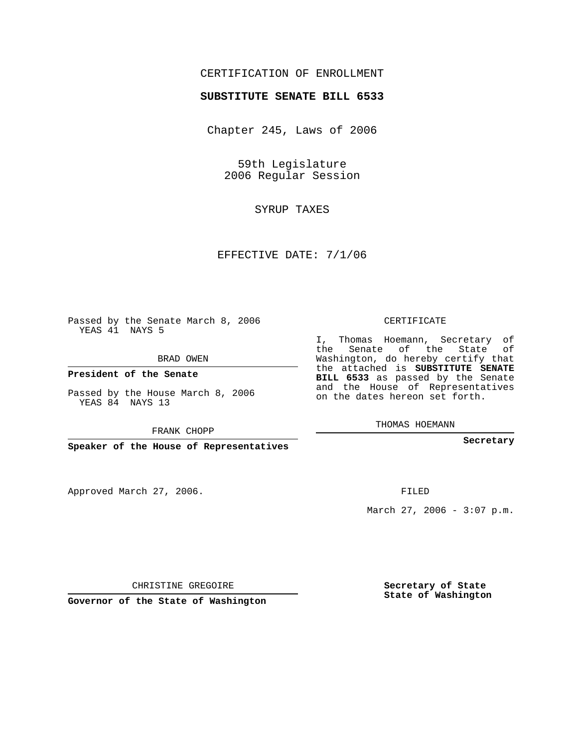## CERTIFICATION OF ENROLLMENT

## **SUBSTITUTE SENATE BILL 6533**

Chapter 245, Laws of 2006

59th Legislature 2006 Regular Session

SYRUP TAXES

EFFECTIVE DATE: 7/1/06

Passed by the Senate March 8, 2006 YEAS 41 NAYS 5

BRAD OWEN

**President of the Senate**

Passed by the House March 8, 2006 YEAS 84 NAYS 13

FRANK CHOPP

**Speaker of the House of Representatives**

Approved March 27, 2006.

CERTIFICATE

I, Thomas Hoemann, Secretary of the Senate of the State of Washington, do hereby certify that the attached is **SUBSTITUTE SENATE BILL 6533** as passed by the Senate and the House of Representatives on the dates hereon set forth.

THOMAS HOEMANN

**Secretary**

FILED

March 27, 2006 -  $3:07$  p.m.

CHRISTINE GREGOIRE

**Governor of the State of Washington**

**Secretary of State State of Washington**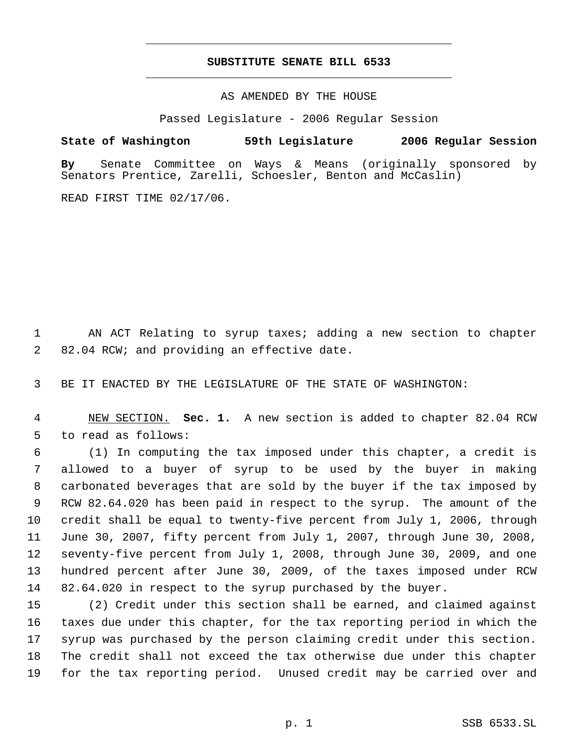## **SUBSTITUTE SENATE BILL 6533** \_\_\_\_\_\_\_\_\_\_\_\_\_\_\_\_\_\_\_\_\_\_\_\_\_\_\_\_\_\_\_\_\_\_\_\_\_\_\_\_\_\_\_\_\_

\_\_\_\_\_\_\_\_\_\_\_\_\_\_\_\_\_\_\_\_\_\_\_\_\_\_\_\_\_\_\_\_\_\_\_\_\_\_\_\_\_\_\_\_\_

AS AMENDED BY THE HOUSE

Passed Legislature - 2006 Regular Session

**State of Washington 59th Legislature 2006 Regular Session**

**By** Senate Committee on Ways & Means (originally sponsored by Senators Prentice, Zarelli, Schoesler, Benton and McCaslin)

READ FIRST TIME 02/17/06.

 AN ACT Relating to syrup taxes; adding a new section to chapter 82.04 RCW; and providing an effective date.

BE IT ENACTED BY THE LEGISLATURE OF THE STATE OF WASHINGTON:

 NEW SECTION. **Sec. 1.** A new section is added to chapter 82.04 RCW to read as follows:

 (1) In computing the tax imposed under this chapter, a credit is allowed to a buyer of syrup to be used by the buyer in making carbonated beverages that are sold by the buyer if the tax imposed by RCW 82.64.020 has been paid in respect to the syrup. The amount of the credit shall be equal to twenty-five percent from July 1, 2006, through June 30, 2007, fifty percent from July 1, 2007, through June 30, 2008, seventy-five percent from July 1, 2008, through June 30, 2009, and one hundred percent after June 30, 2009, of the taxes imposed under RCW 82.64.020 in respect to the syrup purchased by the buyer.

 (2) Credit under this section shall be earned, and claimed against taxes due under this chapter, for the tax reporting period in which the syrup was purchased by the person claiming credit under this section. The credit shall not exceed the tax otherwise due under this chapter for the tax reporting period. Unused credit may be carried over and